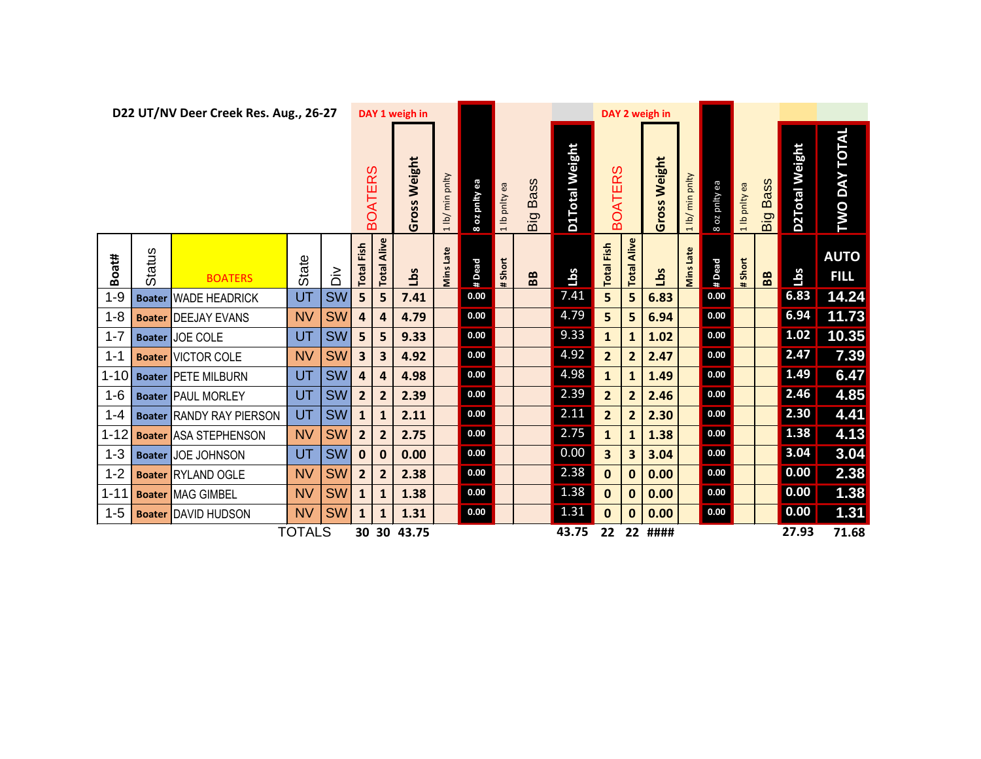| D22 UT/NV Deer Creek Res. Aug., 26-27 |               |                                 |                |                            |                   |                 | DAY 1 weigh in                    |              |          |                       |                |       |                     |                           | DAY 2 weigh in          |              |                    |                |                      |        |                            |
|---------------------------------------|---------------|---------------------------------|----------------|----------------------------|-------------------|-----------------|-----------------------------------|--------------|----------|-----------------------|----------------|-------|---------------------|---------------------------|-------------------------|--------------|--------------------|----------------|----------------------|--------|----------------------------|
|                                       |               |                                 | <b>BOATERS</b> |                            | Gross Weight      | 1 lb/ min pnlty | æ<br>ylud<br>$\overline{50}$<br>8 | lb pnity ea  | Big Bass | <b>D1Total Weight</b> | <b>BOATERS</b> |       | <b>Gross Weight</b> | min pnlty<br>$\sqrt{q 1}$ | oz pnity ea<br>$\infty$ | Ib pnity ea  | <b>Bass</b><br>Big | D2Total Weight | <b>TWO DAY TOTAL</b> |        |                            |
| Boat#                                 | <b>Status</b> | <b>BOATERS</b>                  | State          | $\dot{\tilde{\mathsf{D}}}$ | <b>Total Fish</b> | Alive<br>Total. | Lbs                               | Late<br>Mins | #Dead    | #Short                | BB             | Lbs   | <b>Total Fish</b>   | Alive<br><b>Total</b>     | <u>sq1</u>              | Late<br>Mins | #Dead              | #Short         | B <sub>B</sub>       | Lbs    | <b>AUTO</b><br><b>FILL</b> |
| $1 - 9$                               |               | <b>Boater WADE HEADRICK</b>     | UT             | <b>SW</b>                  | 5                 | 5               | 7.41                              |              | 0.00     |                       |                | 7.41  | 5                   | 5                         | 6.83                    |              | 0.00               |                |                      | 6.83   | 14.24                      |
| $1 - 8$                               |               | <b>Boater DEEJAY EVANS</b>      | <b>NV</b>      | <b>SW</b>                  | $\overline{a}$    | 4               | 4.79                              |              | 0.00     |                       |                | 4.79  | 5                   | 5                         | 6.94                    |              | 0.00               |                |                      | 6.94   | 11.73                      |
| $1 - 7$                               |               | <b>Boater JOE COLE</b>          | UT             | <b>SW</b>                  | 5                 | 5               | 9.33                              |              | 0.00     |                       |                | 9.33  | $\mathbf{1}$        | $\mathbf{1}$              | 1.02                    |              | 0.00               |                |                      | $1.02$ | 10.35                      |
| $1 - 1$                               |               | <b>Boater VICTOR COLE</b>       | <b>NV</b>      | <b>SW</b>                  | 3                 | 3               | 4.92                              |              | 0.00     |                       |                | 4.92  | $\overline{2}$      | $\overline{2}$            | 2.47                    |              | 0.00               |                |                      | 2.47   | 7.39                       |
| $1 - 10$                              |               | <b>Boater PETE MILBURN</b>      | UT             | <b>SW</b>                  | $\overline{a}$    | 4               | 4.98                              |              | 0.00     |                       |                | 4.98  | $\mathbf{1}$        | 1                         | 1.49                    |              | 0.00               |                |                      | 1.49   | 6.47                       |
| $1 - 6$                               |               | <b>Boater PAUL MORLEY</b>       | UT             | <b>SW</b>                  | $\overline{2}$    | $\overline{2}$  | 2.39                              |              | 0.00     |                       |                | 2.39  | $\overline{2}$      | $\overline{2}$            | 2.46                    |              | 0.00               |                |                      | 2.46   | 4.85                       |
| $1 - 4$                               |               | <b>Boater RANDY RAY PIERSON</b> | UT             | <b>SW</b>                  | $\mathbf{1}$      | $\mathbf{1}$    | 2.11                              |              | 0.00     |                       |                | 2.11  | $\overline{2}$      | $\overline{2}$            | 2.30                    |              | 0.00               |                |                      | 2.30   | 4.41                       |
| $1 - 12$                              |               | <b>Boater ASA STEPHENSON</b>    | <b>NV</b>      | <b>SW</b>                  | $\overline{2}$    | $\overline{2}$  | 2.75                              |              | 0.00     |                       |                | 2.75  | $\mathbf{1}$        | $\mathbf{1}$              | 1.38                    |              | 0.00               |                |                      | 1.38   | 4.13                       |
| $1 - 3$                               |               | <b>Boater JOE JOHNSON</b>       | UT             | <b>SW</b>                  | $\mathbf{0}$      | $\mathbf{0}$    | 0.00                              |              | 0.00     |                       |                | 0.00  | 3                   | 3                         | 3.04                    |              | 0.00               |                |                      | 3.04   | 3.04                       |
| $1 - 2$                               |               | <b>Boater RYLAND OGLE</b>       | <b>NV</b>      | <b>SW</b>                  | $\overline{2}$    | $\overline{2}$  | 2.38                              |              | 0.00     |                       |                | 2.38  | $\mathbf 0$         | 0                         | 0.00                    |              | 0.00               |                |                      | 0.00   | 2.38                       |
| $1 - 11$                              |               | <b>Boater MAG GIMBEL</b>        | <b>NV</b>      | <b>SW</b>                  | $\mathbf{1}$      | $\mathbf{1}$    | 1.38                              |              | 0.00     |                       |                | 1.38  | $\mathbf 0$         | 0                         | 0.00                    |              | 0.00               |                |                      | 0.00   | 1.38                       |
| $1 - 5$                               | <b>Boater</b> | <b>DAVID HUDSON</b>             | <b>NV</b>      | <b>SW</b>                  | $\mathbf{1}$      | $\mathbf{1}$    | 1.31                              |              | 0.00     |                       |                | 1.31  | $\mathbf{0}$        | 0                         | 0.00                    |              | 0.00               |                |                      | 0.00   | $\boxed{1.31}$             |
|                                       |               |                                 | <b>TOTALS</b>  |                            | 30                |                 | 30 43.75                          |              |          |                       |                | 43.75 | 22                  |                           | 22 ####                 |              |                    |                |                      | 27.93  | 71.68                      |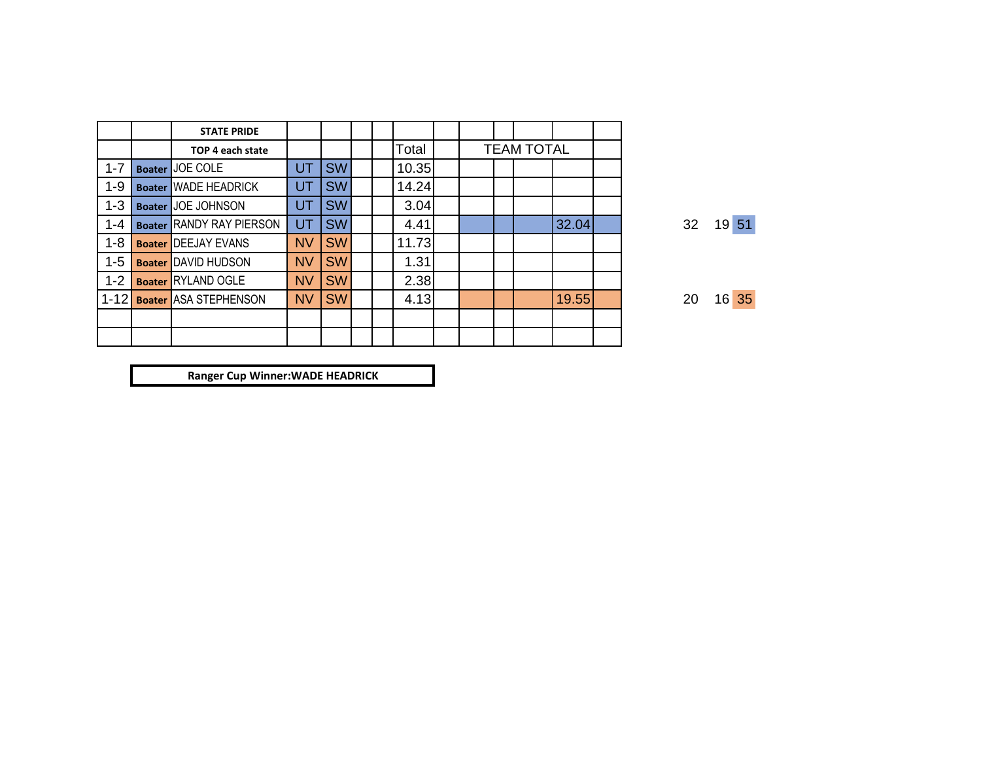|          |               | <b>STATE PRIDE</b>              |           |           |  |       |  |                   |       |  |
|----------|---------------|---------------------------------|-----------|-----------|--|-------|--|-------------------|-------|--|
|          |               | TOP 4 each state                |           |           |  | Total |  | <b>TEAM TOTAL</b> |       |  |
| $1 - 7$  |               | Boater <b>JOE COLE</b>          | UT        | <b>SW</b> |  | 10.35 |  |                   |       |  |
| 1-9      |               | <b>Boater WADE HEADRICK</b>     | UT        | <b>SW</b> |  | 14.24 |  |                   |       |  |
| $1 - 3$  | <b>Boater</b> | <b>JOE JOHNSON</b>              | UT        | <b>SW</b> |  | 3.04  |  |                   |       |  |
| $1 - 4$  |               | <b>Boater RANDY RAY PIERSON</b> | UT        | <b>SW</b> |  | 4.41  |  |                   | 32.04 |  |
| $1 - 8$  |               | <b>Boater DEEJAY EVANS</b>      | <b>NV</b> | <b>SW</b> |  | 11.73 |  |                   |       |  |
| $1 - 5$  |               | <b>Boater DAVID HUDSON</b>      | <b>NV</b> | <b>SW</b> |  | 1.31  |  |                   |       |  |
| $1 - 2$  |               | <b>Boater RYLAND OGLE</b>       | <b>NV</b> | <b>SW</b> |  | 2.38  |  |                   |       |  |
| $1 - 12$ |               | <b>Boater ASA STEPHENSON</b>    | <b>NV</b> | <b>SW</b> |  | 4.13  |  |                   | 19.55 |  |
|          |               |                                 |           |           |  |       |  |                   |       |  |
|          |               |                                 |           |           |  |       |  |                   |       |  |

32 19 51

20 16 35

**Ranger Cup Winner:WADE HEADRICK**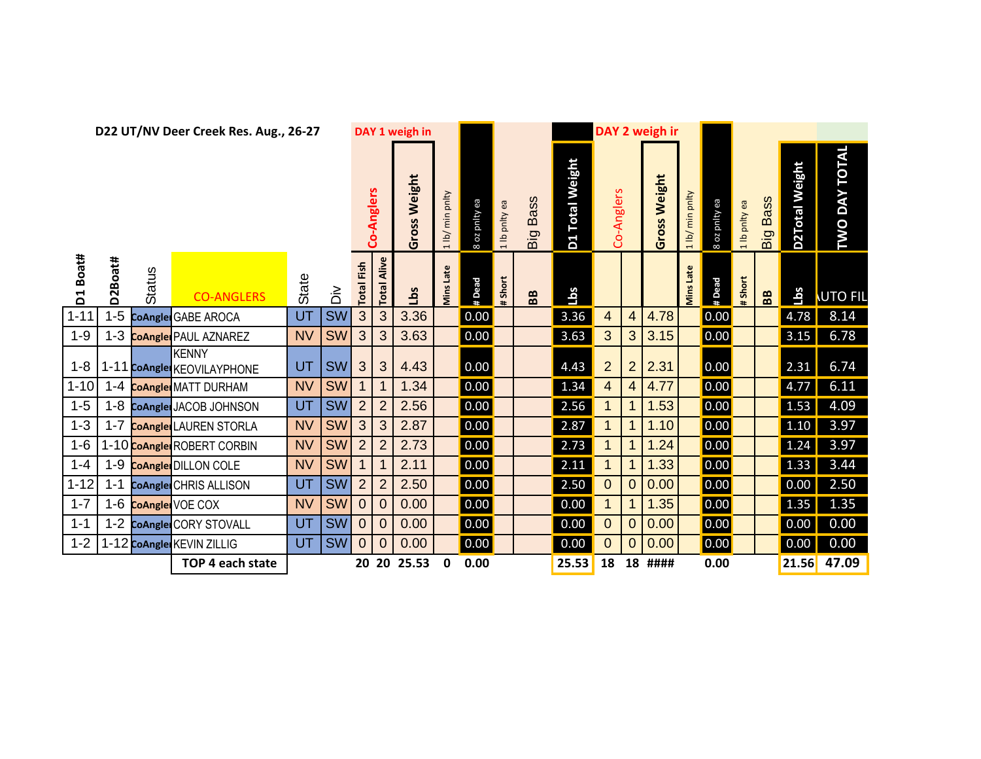| D22 UT/NV Deer Creek Res. Aug., 26-27 |         |        |                                            |           |           |                   |                | DAY 1 weigh in              |                             |               |                           |                         |                           |                          |                | DAY 2 weigh ir  |                     |                         |                 |                    |                       |                      |
|---------------------------------------|---------|--------|--------------------------------------------|-----------|-----------|-------------------|----------------|-----------------------------|-----------------------------|---------------|---------------------------|-------------------------|---------------------------|--------------------------|----------------|-----------------|---------------------|-------------------------|-----------------|--------------------|-----------------------|----------------------|
|                                       |         |        |                                            |           |           |                   | Co-Anglers     | Weight<br><b>S</b><br>Gross | min pnlty<br>$\overline{p}$ | B oz pnity ea | pnity ea<br>$\frac{d}{1}$ | <b>Bass</b><br>Big      | <b>Total Weight</b><br>D1 | Co-Anglers               |                | Weight<br>Gross | min pnlty<br>1 lb/  | oz pnity ea<br>$\infty$ | pnityea<br>1 lb | <b>Bass</b><br>Big | <b>D2Total Weight</b> | <b>TWO DAY TOTAL</b> |
| Boat#<br>ដ                            | D2Boat# | Status | <b>CO-ANGLERS</b>                          | State     | ≶َ        | <b>Total Fish</b> | Alive<br>Total | Lbs                         | <b>Mins Late</b>            | # Dead        | # Short                   | $\mathbf{B} \mathbf{B}$ | <u>SqT</u>                |                          |                |                 | Late<br><b>Mins</b> | # Dead                  | Short           | BB                 | Lbs                   | <b>UTO FIL</b>       |
| $1 - 11$                              | $1 - 5$ |        | CoAngle GABE AROCA                         | UT        | SW        | 3                 | 3              | 3.36                        |                             | 0.00          |                           |                         | 3.36                      | 4                        | $\overline{4}$ | 4.78            |                     | 0.00                    |                 |                    | 4.78                  | 8.14                 |
| $1 - 9$                               | $1 - 3$ |        | <b>CoAngle</b> PAUL AZNAREZ                | <b>NV</b> | <b>SW</b> | 3                 | 3              | 3.63                        |                             | 0.00          |                           |                         | 3.63                      | 3                        | 3              | 3.15            |                     | 0.00                    |                 |                    | 3.15                  | 6.78                 |
| $1 - 8$                               |         |        | <b>KENNY</b><br>1-11 CoAngle KEOVILAYPHONE | UT        | <b>SW</b> | 3                 | 3              | 4.43                        |                             | 0.00          |                           |                         | 4.43                      | $\overline{2}$           | $\overline{2}$ | 2.31            |                     | 0.00                    |                 |                    | 2.31                  | 6.74                 |
| $1 - 10$                              | $1 - 4$ |        | <b>CoAngle</b> MATT DURHAM                 | <b>NV</b> | <b>SW</b> | $\mathbf 1$       | $\mathbf 1$    | 1.34                        |                             | 0.00          |                           |                         | 1.34                      | $\overline{\mathcal{A}}$ | $\overline{4}$ | 4.77            |                     | 0.00                    |                 |                    | 4.77                  | 6.11                 |
| $1 - 5$                               |         |        | 1-8 CoAngle JACOB JOHNSON                  | UT        | <b>SW</b> | $\overline{2}$    | $\overline{2}$ | 2.56                        |                             | 0.00          |                           |                         | 2.56                      | 1                        |                | 1.53            |                     | 0.00                    |                 |                    | 1.53                  | 4.09                 |
| $1 - 3$                               |         |        | 1-7 CoAngle LAUREN STORLA                  | <b>NV</b> | <b>SW</b> | 3                 | 3              | 2.87                        |                             | 0.00          |                           |                         | 2.87                      | $\mathbf 1$              | 1              | 1.10            |                     | 0.00                    |                 |                    | 1.10                  | 3.97                 |
| $1 - 6$                               |         |        | 1-10 CoAngle ROBERT CORBIN                 | <b>NV</b> | <b>SW</b> | $\overline{2}$    | $\overline{2}$ | 2.73                        |                             | 0.00          |                           |                         | 2.73                      | $\mathbf 1$              | $\mathbf 1$    | 1.24            |                     | 0.00                    |                 |                    | 1.24                  | 3.97                 |
| $1 - 4$                               |         |        | 1-9 CoAngle DILLON COLE                    | <b>NV</b> | <b>SW</b> |                   | 1              | 2.11                        |                             | 0.00          |                           |                         | 2.11                      | 1                        |                | 1.33            |                     | 0.00                    |                 |                    | 1.33                  | 3.44                 |
| $1 - 12$                              | $1 - 1$ |        | CoAngle CHRIS ALLISON                      | UT        | <b>SW</b> | $\overline{2}$    | $\overline{2}$ | 2.50                        |                             | 0.00          |                           |                         | 2.50                      | $\mathbf 0$              | $\mathbf 0$    | 0.00            |                     | 0.00                    |                 |                    | 0.00                  | 2.50                 |
| $1 - 7$                               |         |        | 1-6 CoAngle VOE COX                        | <b>NV</b> | <b>SW</b> | $\theta$          | $\mathbf 0$    | 0.00                        |                             | 0.00          |                           |                         | 0.00                      | $\mathbf 1$              |                | 1.35            |                     | 0.00                    |                 |                    | 1.35                  | 1.35                 |
| $1 - 1$                               |         |        | 1-2 CoAngle CORY STOVALL                   | UT        | <b>SW</b> | $\overline{0}$    | $\overline{0}$ | 0.00                        |                             | 0.00          |                           |                         | 0.00                      | $\mathbf 0$              | $\overline{0}$ | 0.00            |                     | 0.00                    |                 |                    | 0.00                  | 0.00                 |
| $1 - 2$                               |         |        | 1-12 CoAngle KEVIN ZILLIG                  | UT        | <b>SW</b> | $\mathbf 0$       | $\mathbf 0$    | 0.00                        |                             | 0.00          |                           |                         | 0.00                      | 0                        | 0              | 0.00            |                     | 0.00                    |                 |                    | 0.00                  | 0.00                 |
|                                       |         |        | TOP 4 each state                           |           |           |                   |                | 20 20 25.53                 | 0                           | 0.00          |                           |                         | 25.53                     | 18                       |                | 18 ####         |                     | 0.00                    |                 |                    | 21.56                 | 47.09                |